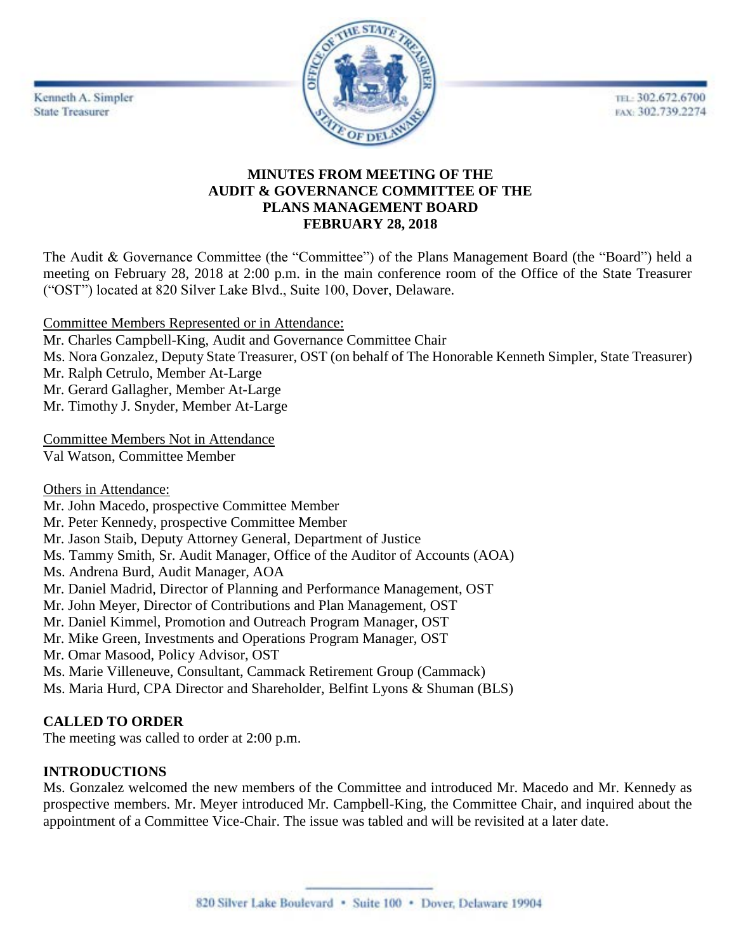Kenneth A. Simpler **State Treasurer** 



TEL: 302.672.6700 FAX: 302.739.2274

# **MINUTES FROM MEETING OF THE AUDIT & GOVERNANCE COMMITTEE OF THE PLANS MANAGEMENT BOARD FEBRUARY 28, 2018**

The Audit & Governance Committee (the "Committee") of the Plans Management Board (the "Board") held a meeting on February 28, 2018 at 2:00 p.m. in the main conference room of the Office of the State Treasurer ("OST") located at 820 Silver Lake Blvd., Suite 100, Dover, Delaware.

Committee Members Represented or in Attendance:

- Mr. Charles Campbell-King, Audit and Governance Committee Chair
- Ms. Nora Gonzalez, Deputy State Treasurer, OST (on behalf of The Honorable Kenneth Simpler, State Treasurer)
- Mr. Ralph Cetrulo, Member At-Large
- Mr. Gerard Gallagher, Member At-Large
- Mr. Timothy J. Snyder, Member At-Large

Committee Members Not in Attendance Val Watson, Committee Member

Others in Attendance:

- Mr. John Macedo, prospective Committee Member
- Mr. Peter Kennedy, prospective Committee Member
- Mr. Jason Staib, Deputy Attorney General, Department of Justice
- Ms. Tammy Smith, Sr. Audit Manager, Office of the Auditor of Accounts (AOA)
- Ms. Andrena Burd, Audit Manager, AOA
- Mr. Daniel Madrid, Director of Planning and Performance Management, OST
- Mr. John Meyer, Director of Contributions and Plan Management, OST
- Mr. Daniel Kimmel, Promotion and Outreach Program Manager, OST
- Mr. Mike Green, Investments and Operations Program Manager, OST
- Mr. Omar Masood, Policy Advisor, OST
- Ms. Marie Villeneuve, Consultant, Cammack Retirement Group (Cammack)
- Ms. Maria Hurd, CPA Director and Shareholder, Belfint Lyons & Shuman (BLS)

# **CALLED TO ORDER**

The meeting was called to order at 2:00 p.m.

# **INTRODUCTIONS**

Ms. Gonzalez welcomed the new members of the Committee and introduced Mr. Macedo and Mr. Kennedy as prospective members. Mr. Meyer introduced Mr. Campbell-King, the Committee Chair, and inquired about the appointment of a Committee Vice-Chair. The issue was tabled and will be revisited at a later date.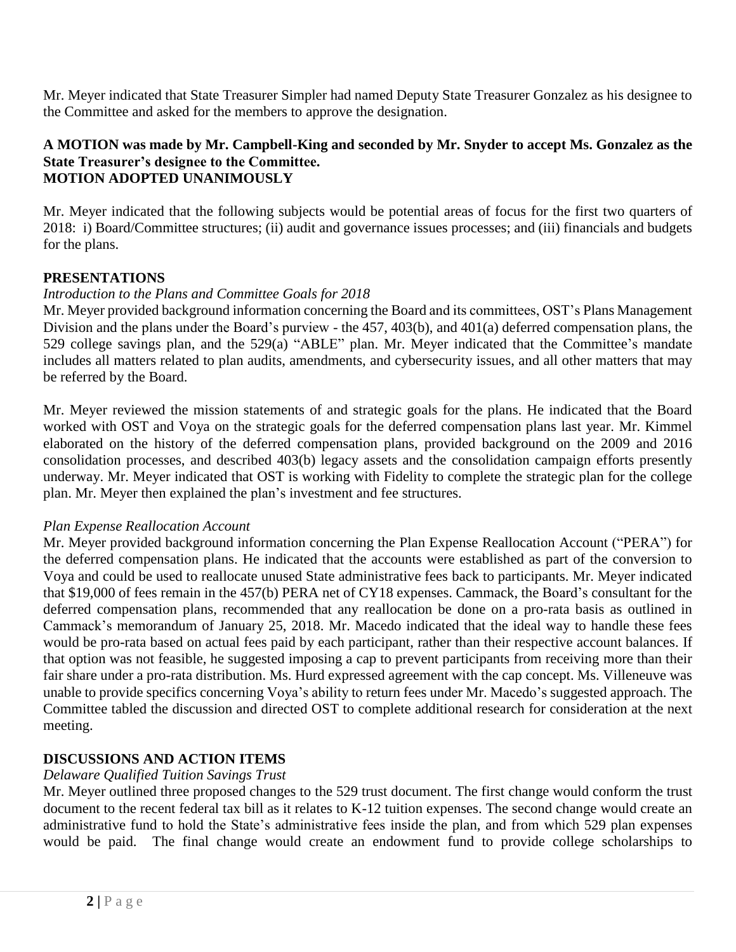Mr. Meyer indicated that State Treasurer Simpler had named Deputy State Treasurer Gonzalez as his designee to the Committee and asked for the members to approve the designation.

#### **A MOTION was made by Mr. Campbell-King and seconded by Mr. Snyder to accept Ms. Gonzalez as the State Treasurer's designee to the Committee. MOTION ADOPTED UNANIMOUSLY**

Mr. Meyer indicated that the following subjects would be potential areas of focus for the first two quarters of 2018: i) Board/Committee structures; (ii) audit and governance issues processes; and (iii) financials and budgets for the plans.

#### **PRESENTATIONS**

#### *Introduction to the Plans and Committee Goals for 2018*

Mr. Meyer provided background information concerning the Board and its committees, OST's Plans Management Division and the plans under the Board's purview - the 457, 403(b), and 401(a) deferred compensation plans, the 529 college savings plan, and the 529(a) "ABLE" plan. Mr. Meyer indicated that the Committee's mandate includes all matters related to plan audits, amendments, and cybersecurity issues, and all other matters that may be referred by the Board.

Mr. Meyer reviewed the mission statements of and strategic goals for the plans. He indicated that the Board worked with OST and Voya on the strategic goals for the deferred compensation plans last year. Mr. Kimmel elaborated on the history of the deferred compensation plans, provided background on the 2009 and 2016 consolidation processes, and described 403(b) legacy assets and the consolidation campaign efforts presently underway. Mr. Meyer indicated that OST is working with Fidelity to complete the strategic plan for the college plan. Mr. Meyer then explained the plan's investment and fee structures.

#### *Plan Expense Reallocation Account*

Mr. Meyer provided background information concerning the Plan Expense Reallocation Account ("PERA") for the deferred compensation plans. He indicated that the accounts were established as part of the conversion to Voya and could be used to reallocate unused State administrative fees back to participants. Mr. Meyer indicated that \$19,000 of fees remain in the 457(b) PERA net of CY18 expenses. Cammack, the Board's consultant for the deferred compensation plans, recommended that any reallocation be done on a pro-rata basis as outlined in Cammack's memorandum of January 25, 2018. Mr. Macedo indicated that the ideal way to handle these fees would be pro-rata based on actual fees paid by each participant, rather than their respective account balances. If that option was not feasible, he suggested imposing a cap to prevent participants from receiving more than their fair share under a pro-rata distribution. Ms. Hurd expressed agreement with the cap concept. Ms. Villeneuve was unable to provide specifics concerning Voya's ability to return fees under Mr. Macedo's suggested approach. The Committee tabled the discussion and directed OST to complete additional research for consideration at the next meeting.

# **DISCUSSIONS AND ACTION ITEMS**

# *Delaware Qualified Tuition Savings Trust*

Mr. Meyer outlined three proposed changes to the 529 trust document. The first change would conform the trust document to the recent federal tax bill as it relates to K-12 tuition expenses. The second change would create an administrative fund to hold the State's administrative fees inside the plan, and from which 529 plan expenses would be paid. The final change would create an endowment fund to provide college scholarships to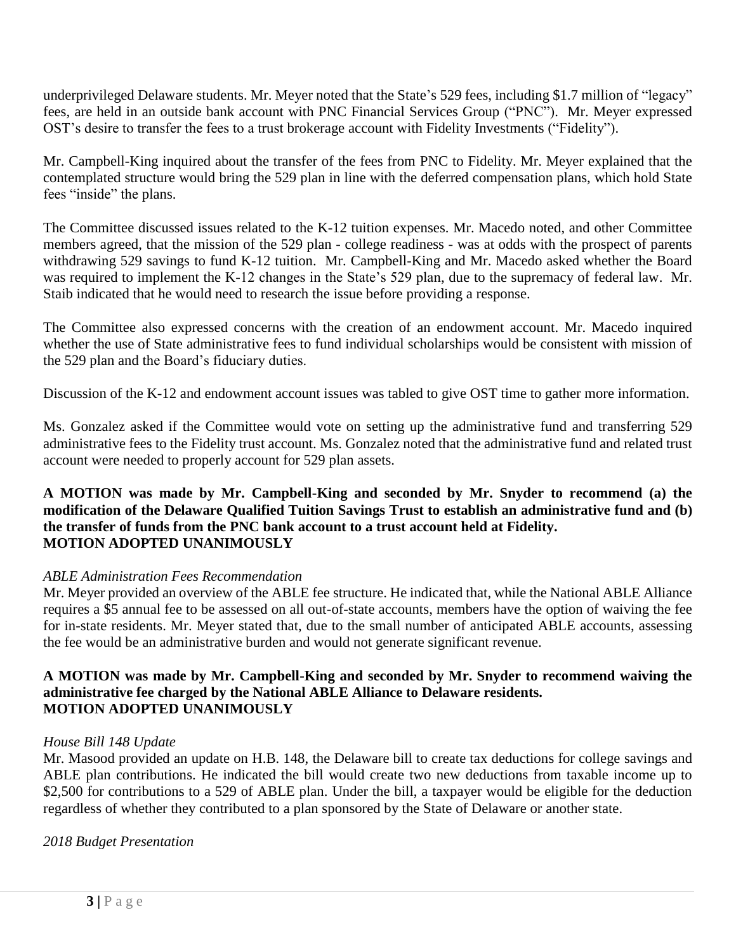underprivileged Delaware students. Mr. Meyer noted that the State's 529 fees, including \$1.7 million of "legacy" fees, are held in an outside bank account with PNC Financial Services Group ("PNC"). Mr. Meyer expressed OST's desire to transfer the fees to a trust brokerage account with Fidelity Investments ("Fidelity").

Mr. Campbell-King inquired about the transfer of the fees from PNC to Fidelity. Mr. Meyer explained that the contemplated structure would bring the 529 plan in line with the deferred compensation plans, which hold State fees "inside" the plans.

The Committee discussed issues related to the K-12 tuition expenses. Mr. Macedo noted, and other Committee members agreed, that the mission of the 529 plan - college readiness - was at odds with the prospect of parents withdrawing 529 savings to fund K-12 tuition. Mr. Campbell-King and Mr. Macedo asked whether the Board was required to implement the K-12 changes in the State's 529 plan, due to the supremacy of federal law. Mr. Staib indicated that he would need to research the issue before providing a response.

The Committee also expressed concerns with the creation of an endowment account. Mr. Macedo inquired whether the use of State administrative fees to fund individual scholarships would be consistent with mission of the 529 plan and the Board's fiduciary duties.

Discussion of the K-12 and endowment account issues was tabled to give OST time to gather more information.

Ms. Gonzalez asked if the Committee would vote on setting up the administrative fund and transferring 529 administrative fees to the Fidelity trust account. Ms. Gonzalez noted that the administrative fund and related trust account were needed to properly account for 529 plan assets.

# **A MOTION was made by Mr. Campbell-King and seconded by Mr. Snyder to recommend (a) the modification of the Delaware Qualified Tuition Savings Trust to establish an administrative fund and (b) the transfer of funds from the PNC bank account to a trust account held at Fidelity. MOTION ADOPTED UNANIMOUSLY**

# *ABLE Administration Fees Recommendation*

Mr. Meyer provided an overview of the ABLE fee structure. He indicated that, while the National ABLE Alliance requires a \$5 annual fee to be assessed on all out-of-state accounts, members have the option of waiving the fee for in-state residents. Mr. Meyer stated that, due to the small number of anticipated ABLE accounts, assessing the fee would be an administrative burden and would not generate significant revenue.

#### **A MOTION was made by Mr. Campbell-King and seconded by Mr. Snyder to recommend waiving the administrative fee charged by the National ABLE Alliance to Delaware residents. MOTION ADOPTED UNANIMOUSLY**

# *House Bill 148 Update*

Mr. Masood provided an update on H.B. 148, the Delaware bill to create tax deductions for college savings and ABLE plan contributions. He indicated the bill would create two new deductions from taxable income up to \$2,500 for contributions to a 529 of ABLE plan. Under the bill, a taxpayer would be eligible for the deduction regardless of whether they contributed to a plan sponsored by the State of Delaware or another state.

# *2018 Budget Presentation*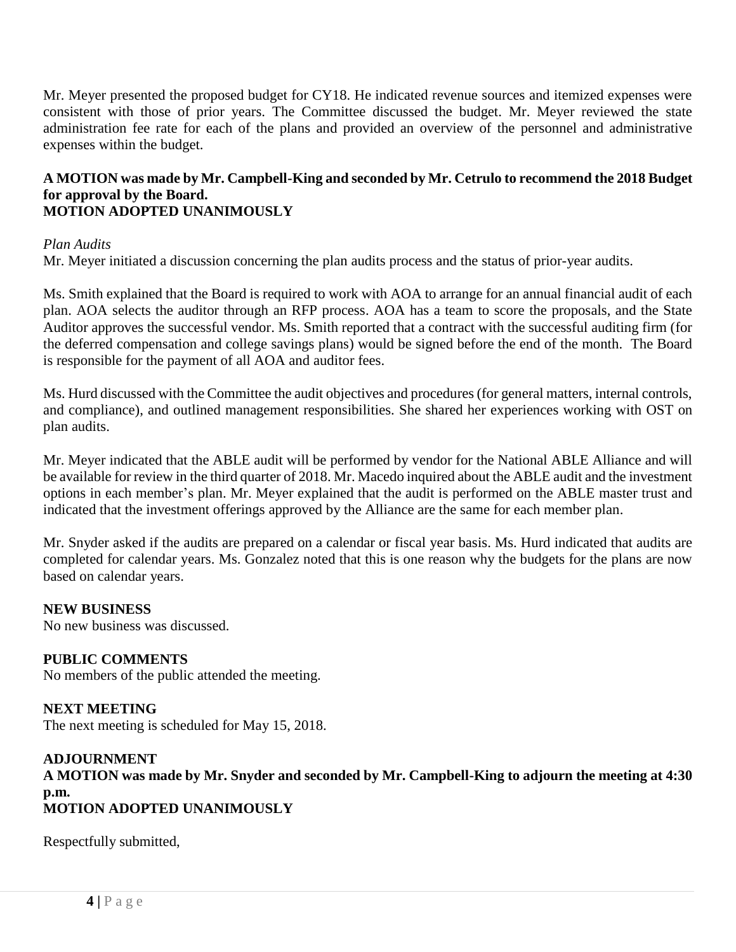Mr. Meyer presented the proposed budget for CY18. He indicated revenue sources and itemized expenses were consistent with those of prior years. The Committee discussed the budget. Mr. Meyer reviewed the state administration fee rate for each of the plans and provided an overview of the personnel and administrative expenses within the budget.

#### **A MOTION was made by Mr. Campbell-King and seconded by Mr. Cetrulo to recommend the 2018 Budget for approval by the Board. MOTION ADOPTED UNANIMOUSLY**

#### *Plan Audits*

Mr. Meyer initiated a discussion concerning the plan audits process and the status of prior-year audits.

Ms. Smith explained that the Board is required to work with AOA to arrange for an annual financial audit of each plan. AOA selects the auditor through an RFP process. AOA has a team to score the proposals, and the State Auditor approves the successful vendor. Ms. Smith reported that a contract with the successful auditing firm (for the deferred compensation and college savings plans) would be signed before the end of the month. The Board is responsible for the payment of all AOA and auditor fees.

Ms. Hurd discussed with the Committee the audit objectives and procedures (for general matters, internal controls, and compliance), and outlined management responsibilities. She shared her experiences working with OST on plan audits.

Mr. Meyer indicated that the ABLE audit will be performed by vendor for the National ABLE Alliance and will be available for review in the third quarter of 2018. Mr. Macedo inquired about the ABLE audit and the investment options in each member's plan. Mr. Meyer explained that the audit is performed on the ABLE master trust and indicated that the investment offerings approved by the Alliance are the same for each member plan.

Mr. Snyder asked if the audits are prepared on a calendar or fiscal year basis. Ms. Hurd indicated that audits are completed for calendar years. Ms. Gonzalez noted that this is one reason why the budgets for the plans are now based on calendar years.

# **NEW BUSINESS**

No new business was discussed.

# **PUBLIC COMMENTS**

No members of the public attended the meeting.

**NEXT MEETING** The next meeting is scheduled for May 15, 2018.

# **ADJOURNMENT**

**A MOTION was made by Mr. Snyder and seconded by Mr. Campbell-King to adjourn the meeting at 4:30 p.m. MOTION ADOPTED UNANIMOUSLY**

Respectfully submitted,